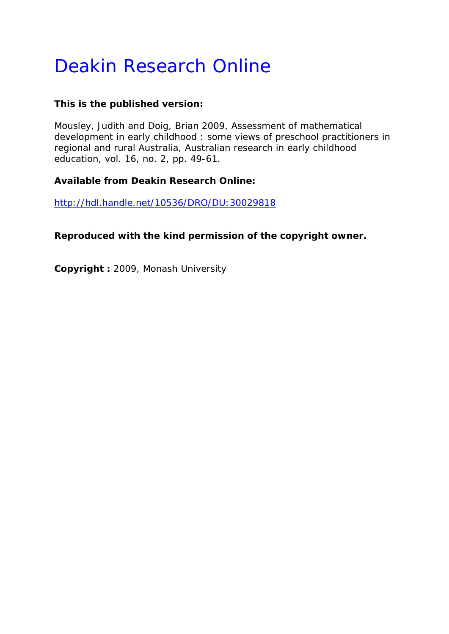# Deakin Research Online

# **This is the published version:**

Mousley, Judith and Doig, Brian 2009, Assessment of mathematical development in early childhood : some views of preschool practitioners in regional and rural Australia*, Australian research in early childhood education*, vol. 16, no. 2, pp. 49-61.

# **Available from Deakin Research Online:**

http://hdl.handle.net/10536/DRO/DU:30029818

**Reproduced with the kind permission of the copyright owner.** 

**Copyright :** 2009, Monash University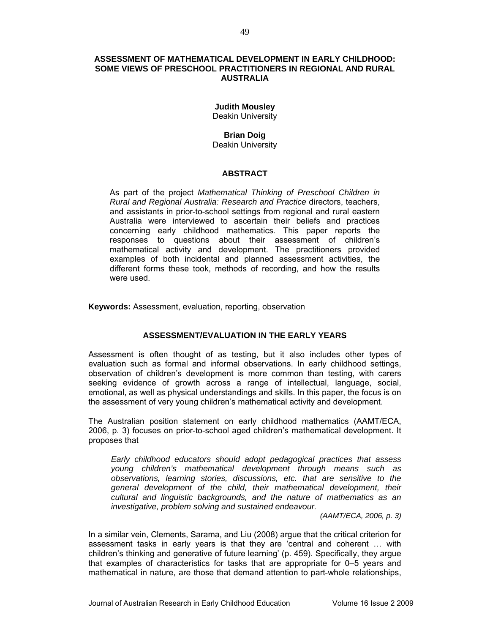# **ASSESSMENT OF MATHEMATICAL DEVELOPMENT IN EARLY CHILDHOOD: SOME VIEWS OF PRESCHOOL PRACTITIONERS IN REGIONAL AND RURAL AUSTRALIA**

**Judith Mousley**  Deakin University

**Brian Doig** 

Deakin University

# **ABSTRACT**

As part of the project *Mathematical Thinking of Preschool Children in Rural and Regional Australia: Research and Practice* directors, teachers, and assistants in prior-to-school settings from regional and rural eastern Australia were interviewed to ascertain their beliefs and practices concerning early childhood mathematics. This paper reports the responses to questions about their assessment of children's mathematical activity and development. The practitioners provided examples of both incidental and planned assessment activities, the different forms these took, methods of recording, and how the results were used.

**Keywords:** Assessment, evaluation, reporting, observation

# **ASSESSMENT/EVALUATION IN THE EARLY YEARS**

Assessment is often thought of as testing, but it also includes other types of evaluation such as formal and informal observations. In early childhood settings, observation of children's development is more common than testing, with carers seeking evidence of growth across a range of intellectual, language, social, emotional, as well as physical understandings and skills. In this paper, the focus is on the assessment of very young children's mathematical activity and development.

The Australian position statement on early childhood mathematics (AAMT/ECA, 2006, p. 3) focuses on prior-to-school aged children's mathematical development. It proposes that

*Early childhood educators should adopt pedagogical practices that assess young children's mathematical development through means such as observations, learning stories, discussions, etc. that are sensitive to the general development of the child, their mathematical development, their cultural and linguistic backgrounds, and the nature of mathematics as an investigative, problem solving and sustained endeavour.* 

*(AAMT/ECA, 2006, p. 3)* 

In a similar vein, Clements, Sarama, and Liu (2008) argue that the critical criterion for assessment tasks in early years is that they are 'central and coherent … with children's thinking and generative of future learning' (p. 459). Specifically, they argue that examples of characteristics for tasks that are appropriate for 0–5 years and mathematical in nature, are those that demand attention to part-whole relationships,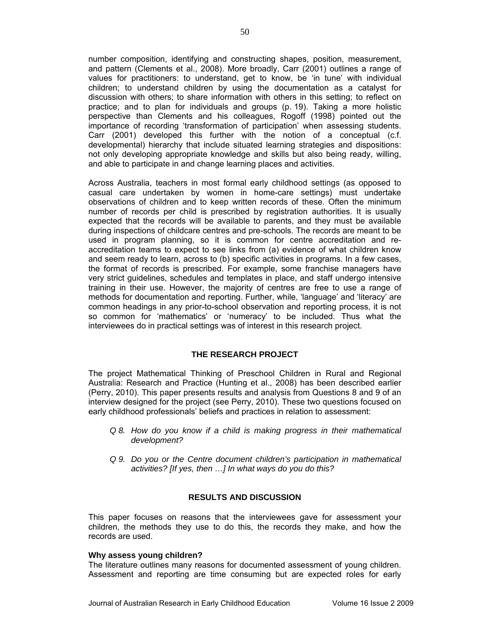number composition, identifying and constructing shapes, position, measurement, and pattern (Clements et al., 2008). More broadly, Carr (2001) outlines a range of values for practitioners: to understand, get to know, be 'in tune' with individual children; to understand children by using the documentation as a catalyst for discussion with others; to share information with others in this setting; to reflect on practice; and to plan for individuals and groups (p. 19). Taking a more holistic perspective than Clements and his colleagues, Rogoff (1998) pointed out the importance of recording 'transformation of participation' when assessing students. Carr (2001) developed this further with the notion of a conceptual (c.f. developmental) hierarchy that include situated learning strategies and dispositions: not only developing appropriate knowledge and skills but also being ready, willing, and able to participate in and change learning places and activities.

Across Australia, teachers in most formal early childhood settings (as opposed to casual care undertaken by women in home-care settings) must undertake observations of children and to keep written records of these. Often the minimum number of records per child is prescribed by registration authorities. It is usually expected that the records will be available to parents, and they must be available during inspections of childcare centres and pre-schools. The records are meant to be used in program planning, so it is common for centre accreditation and reaccreditation teams to expect to see links from (a) evidence of what children know and seem ready to learn, across to (b) specific activities in programs. In a few cases, the format of records is prescribed. For example, some franchise managers have very strict guidelines, schedules and templates in place, and staff undergo intensive training in their use. However, the majority of centres are free to use a range of methods for documentation and reporting. Further, while, 'language' and 'literacy' are common headings in any prior-to-school observation and reporting process, it is not so common for 'mathematics' or 'numeracy' to be included. Thus what the interviewees do in practical settings was of interest in this research project.

# **THE RESEARCH PROJECT**

The project Mathematical Thinking of Preschool Children in Rural and Regional Australia: Research and Practice (Hunting et al., 2008) has been described earlier (Perry, 2010). This paper presents results and analysis from Questions 8 and 9 of an interview designed for the project (see Perry, 2010). These two questions focused on early childhood professionals' beliefs and practices in relation to assessment:

- *Q 8. How do you know if a child is making progress in their mathematical development?*
- *Q 9. Do you or the Centre document children's participation in mathematical activities? [If yes, then …] In what ways do you do this?*

# **RESULTS AND DISCUSSION**

This paper focuses on reasons that the interviewees gave for assessment your children, the methods they use to do this, the records they make, and how the records are used.

#### **Why assess young children?**

The literature outlines many reasons for documented assessment of young children. Assessment and reporting are time consuming but are expected roles for early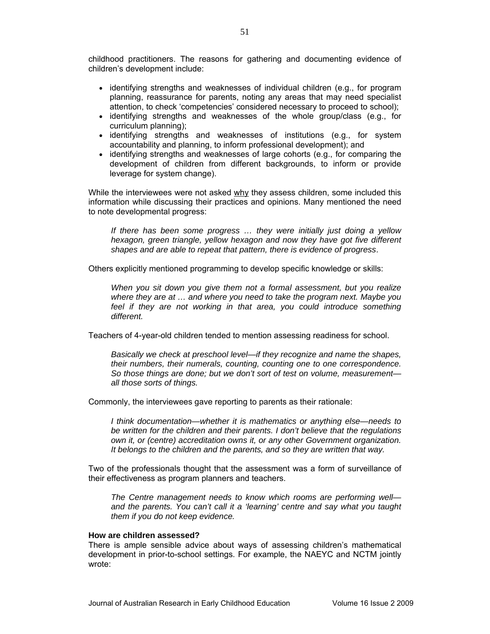childhood practitioners. The reasons for gathering and documenting evidence of children's development include:

- identifying strengths and weaknesses of individual children (e.g., for program planning, reassurance for parents, noting any areas that may need specialist attention, to check 'competencies' considered necessary to proceed to school);
- $\bullet$  identifying strengths and weaknesses of the whole group/class (e.g., for curriculum planning);
- identifying strengths and weaknesses of institutions (e.g., for system accountability and planning, to inform professional development); and
- identifying strengths and weaknesses of large cohorts (e.g., for comparing the development of children from different backgrounds, to inform or provide leverage for system change).

While the interviewees were not asked why they assess children, some included this information while discussing their practices and opinions. Many mentioned the need to note developmental progress:

*If there has been some progress … they were initially just doing a yellow hexagon, green triangle, yellow hexagon and now they have got five different shapes and are able to repeat that pattern, there is evidence of progress*.

Others explicitly mentioned programming to develop specific knowledge or skills:

*When you sit down you give them not a formal assessment, but you realize where they are at … and where you need to take the program next. Maybe you*  feel if they are not working in that area, you could introduce something *different.* 

Teachers of 4-year-old children tended to mention assessing readiness for school.

*Basically we check at preschool level—if they recognize and name the shapes, their numbers, their numerals, counting, counting one to one correspondence. So those things are done; but we don't sort of test on volume, measurement all those sorts of things.* 

Commonly, the interviewees gave reporting to parents as their rationale:

*I think documentation—whether it is mathematics or anything else—needs to be written for the children and their parents. I don't believe that the regulations own it, or (centre) accreditation owns it, or any other Government organization. It belongs to the children and the parents, and so they are written that way.* 

Two of the professionals thought that the assessment was a form of surveillance of their effectiveness as program planners and teachers.

*The Centre management needs to know which rooms are performing well and the parents. You can't call it a 'learning' centre and say what you taught them if you do not keep evidence.* 

#### **How are children assessed?**

There is ample sensible advice about ways of assessing children's mathematical development in prior-to-school settings. For example, the NAEYC and NCTM jointly wrote: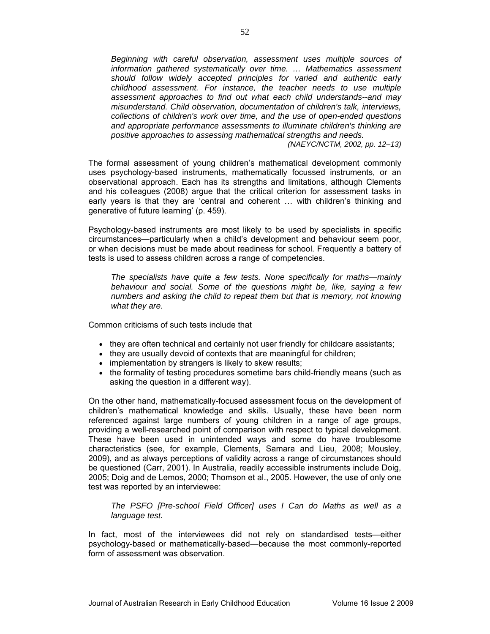*Beginning with careful observation, assessment uses multiple sources of information gathered systematically over time. … Mathematics assessment should follow widely accepted principles for varied and authentic early childhood assessment. For instance, the teacher needs to use multiple assessment approaches to find out what each child understands--and may misunderstand. Child observation, documentation of children's talk, interviews, collections of children's work over time, and the use of open-ended questions and appropriate performance assessments to illuminate children's thinking are positive approaches to assessing mathematical strengths and needs.* 

*(NAEYC/NCTM, 2002, pp. 12–13)*

The formal assessment of young children's mathematical development commonly uses psychology-based instruments, mathematically focussed instruments, or an observational approach. Each has its strengths and limitations, although Clements and his colleagues (2008) argue that the critical criterion for assessment tasks in early years is that they are 'central and coherent … with children's thinking and generative of future learning' (p. 459).

Psychology-based instruments are most likely to be used by specialists in specific circumstances—particularly when a child's development and behaviour seem poor, or when decisions must be made about readiness for school. Frequently a battery of tests is used to assess children across a range of competencies.

*The specialists have quite a few tests. None specifically for maths—mainly behaviour and social. Some of the questions might be, like, saying a few numbers and asking the child to repeat them but that is memory, not knowing what they are.* 

Common criticisms of such tests include that

- they are often technical and certainly not user friendly for childcare assistants;
- they are usually devoid of contexts that are meaningful for children;
- implementation by strangers is likely to skew results;
- the formality of testing procedures sometime bars child-friendly means (such as asking the question in a different way).

On the other hand, mathematically-focused assessment focus on the development of children's mathematical knowledge and skills. Usually, these have been norm referenced against large numbers of young children in a range of age groups, providing a well-researched point of comparison with respect to typical development. These have been used in unintended ways and some do have troublesome characteristics (see, for example, Clements, Samara and Lieu, 2008; Mousley, 2009), and as always perceptions of validity across a range of circumstances should be questioned (Carr, 2001). In Australia, readily accessible instruments include Doig, 2005; Doig and de Lemos, 2000; Thomson et al., 2005. However, the use of only one test was reported by an interviewee:

*The PSFO [Pre-school Field Officer] uses I Can do Maths as well as a language test.* 

In fact, most of the interviewees did not rely on standardised tests—either psychology-based or mathematically-based—because the most commonly-reported form of assessment was observation.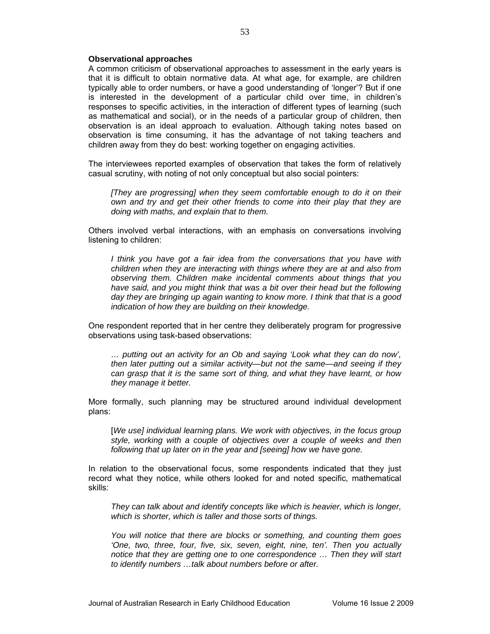#### **Observational approaches**

A common criticism of observational approaches to assessment in the early years is that it is difficult to obtain normative data. At what age, for example, are children typically able to order numbers, or have a good understanding of 'longer'? But if one is interested in the development of a particular child over time, in children's responses to specific activities, in the interaction of different types of learning (such as mathematical and social), or in the needs of a particular group of children, then observation is an ideal approach to evaluation. Although taking notes based on observation is time consuming, it has the advantage of not taking teachers and children away from they do best: working together on engaging activities.

The interviewees reported examples of observation that takes the form of relatively casual scrutiny, with noting of not only conceptual but also social pointers:

*[They are progressing] when they seem comfortable enough to do it on their own and try and get their other friends to come into their play that they are doing with maths, and explain that to them.* 

Others involved verbal interactions, with an emphasis on conversations involving listening to children:

*I think you have got a fair idea from the conversations that you have with children when they are interacting with things where they are at and also from observing them. Children make incidental comments about things that you have said, and you might think that was a bit over their head but the following day they are bringing up again wanting to know more. I think that that is a good indication of how they are building on their knowledge.* 

One respondent reported that in her centre they deliberately program for progressive observations using task-based observations:

*… putting out an activity for an Ob and saying 'Look what they can do now', then later putting out a similar activity—but not the same—and seeing if they can grasp that it is the same sort of thing, and what they have learnt, or how they manage it better.* 

More formally, such planning may be structured around individual development plans:

[*We use] individual learning plans. We work with objectives, in the focus group style, working with a couple of objectives over a couple of weeks and then following that up later on in the year and [seeing] how we have gone.*

In relation to the observational focus, some respondents indicated that they just record what they notice, while others looked for and noted specific, mathematical skills:

*They can talk about and identify concepts like which is heavier, which is longer, which is shorter, which is taller and those sorts of things.* 

*You will notice that there are blocks or something, and counting them goes 'One, two, three, four, five, six, seven, eight, nine, ten'. Then you actually notice that they are getting one to one correspondence … Then they will start to identify numbers …talk about numbers before or after.*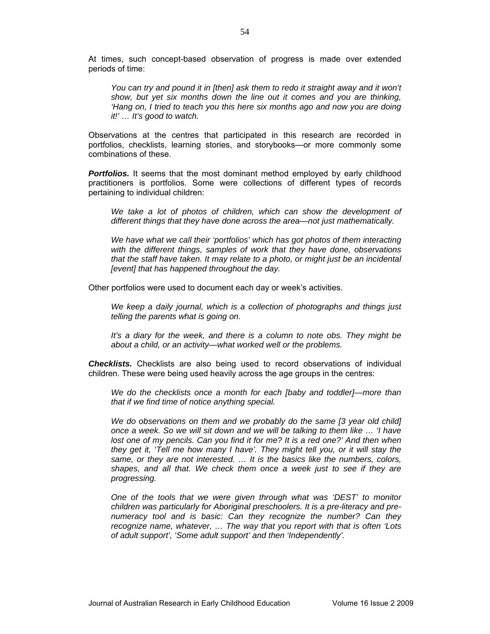At times, such concept-based observation of progress is made over extended periods of time:

*You can try and pound it in [then] ask them to redo it straight away and it won't show, but yet six months down the line out it comes and you are thinking, 'Hang on, I tried to teach you this here six months ago and now you are doing it!' … It's good to watch.* 

Observations at the centres that participated in this research are recorded in portfolios, checklists, learning stories, and storybooks—or more commonly some combinations of these.

**Portfolios.** It seems that the most dominant method employed by early childhood practitioners is portfolios. Some were collections of different types of records pertaining to individual children:

*We take a lot of photos of children, which can show the development of different things that they have done across the area—not just mathematically.* 

*We have what we call their 'portfolios' which has got photos of them interacting with the different things, samples of work that they have done, observations that the staff have taken. It may relate to a photo, or might just be an incidental [event] that has happened throughout the day.* 

Other portfolios were used to document each day or week's activities.

*We keep a daily journal, which is a collection of photographs and things just telling the parents what is going on.* 

*It's a diary for the week, and there is a column to note obs. They might be about a child, or an activity—what worked well or the problems.* 

*Checklists.* Checklists are also being used to record observations of individual children. These were being used heavily across the age groups in the centres:

*We do the checklists once a month for each [baby and toddler]—more than that if we find time of notice anything special.* 

*We do observations on them and we probably do the same [3 year old child] once a week. So we will sit down and we will be talking to them like … 'I have*  lost one of my pencils. Can you find it for me? It is a red one?' And then when *they get it, 'Tell me how many I have'. They might tell you, or it will stay the same, or they are not interested. … It is the basics like the numbers, colors, shapes, and all that. We check them once a week just to see if they are progressing.* 

*One of the tools that we were given through what was 'DEST' to monitor children was particularly for Aboriginal preschoolers. It is a pre-literacy and prenumeracy tool and is basic: Can they recognize the number? Can they recognize name, whatever, … The way that you report with that is often 'Lots of adult support', 'Some adult support' and then 'Independently'.*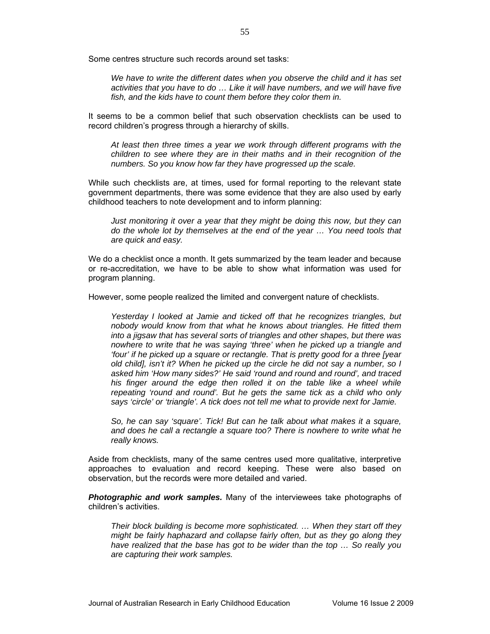Some centres structure such records around set tasks:

*We have to write the different dates when you observe the child and it has set activities that you have to do … Like it will have numbers, and we will have five fish, and the kids have to count them before they color them in.* 

It seems to be a common belief that such observation checklists can be used to record children's progress through a hierarchy of skills.

*At least then three times a year we work through different programs with the children to see where they are in their maths and in their recognition of the numbers. So you know how far they have progressed up the scale.* 

While such checklists are, at times, used for formal reporting to the relevant state government departments, there was some evidence that they are also used by early childhood teachers to note development and to inform planning:

*Just monitoring it over a year that they might be doing this now, but they can do the whole lot by themselves at the end of the year … You need tools that are quick and easy.* 

We do a checklist once a month. It gets summarized by the team leader and because or re-accreditation, we have to be able to show what information was used for program planning.

However, some people realized the limited and convergent nature of checklists.

*Yesterday I looked at Jamie and ticked off that he recognizes triangles, but nobody would know from that what he knows about triangles. He fitted them into a jigsaw that has several sorts of triangles and other shapes, but there was nowhere to write that he was saying 'three' when he picked up a triangle and 'four' if he picked up a square or rectangle. That is pretty good for a three [year old child], isn't it? When he picked up the circle he did not say a number, so I asked him 'How many sides?' He said 'round and round and round', and traced*  his finger around the edge then rolled it on the table like a wheel while *repeating 'round and round'. But he gets the same tick as a child who only says 'circle' or 'triangle'. A tick does not tell me what to provide next for Jamie.* 

*So, he can say 'square'. Tick! But can he talk about what makes it a square, and does he call a rectangle a square too? There is nowhere to write what he really knows.* 

Aside from checklists, many of the same centres used more qualitative, interpretive approaches to evaluation and record keeping. These were also based on observation, but the records were more detailed and varied.

*Photographic and work samples.* Many of the interviewees take photographs of children's activities.

*Their block building is become more sophisticated. … When they start off they might be fairly haphazard and collapse fairly often, but as they go along they have realized that the base has got to be wider than the top … So really you are capturing their work samples.*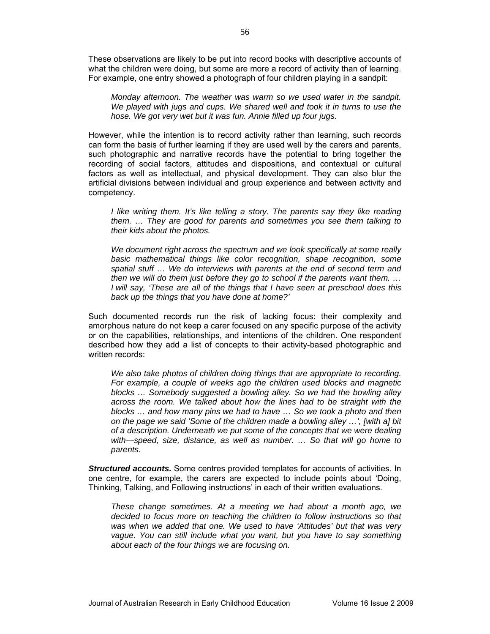These observations are likely to be put into record books with descriptive accounts of what the children were doing, but some are more a record of activity than of learning. For example, one entry showed a photograph of four children playing in a sandpit:

*Monday afternoon. The weather was warm so we used water in the sandpit. We played with jugs and cups. We shared well and took it in turns to use the hose. We got very wet but it was fun. Annie filled up four jugs.* 

However, while the intention is to record activity rather than learning, such records can form the basis of further learning if they are used well by the carers and parents, such photographic and narrative records have the potential to bring together the recording of social factors, attitudes and dispositions, and contextual or cultural factors as well as intellectual, and physical development. They can also blur the artificial divisions between individual and group experience and between activity and competency.

*I like writing them. It's like telling a story. The parents say they like reading them. … They are good for parents and sometimes you see them talking to their kids about the photos.* 

*We document right across the spectrum and we look specifically at some really basic mathematical things like color recognition, shape recognition, some spatial stuff … We do interviews with parents at the end of second term and then we will do them just before they go to school if the parents want them. … I will say, 'These are all of the things that I have seen at preschool does this back up the things that you have done at home?'* 

Such documented records run the risk of lacking focus: their complexity and amorphous nature do not keep a carer focused on any specific purpose of the activity or on the capabilities, relationships, and intentions of the children. One respondent described how they add a list of concepts to their activity-based photographic and written records:

*We also take photos of children doing things that are appropriate to recording. For example, a couple of weeks ago the children used blocks and magnetic blocks … Somebody suggested a bowling alley. So we had the bowling alley across the room. We talked about how the lines had to be straight with the blocks … and how many pins we had to have … So we took a photo and then on the page we said 'Some of the children made a bowling alley …', [with a] bit of a description. Underneath we put some of the concepts that we were dealing with—speed, size, distance, as well as number. … So that will go home to parents.* 

*Structured accounts.* Some centres provided templates for accounts of activities. In one centre, for example, the carers are expected to include points about 'Doing, Thinking, Talking, and Following instructions' in each of their written evaluations.

*These change sometimes. At a meeting we had about a month ago, we decided to focus more on teaching the children to follow instructions so that was when we added that one. We used to have 'Attitudes' but that was very vague. You can still include what you want, but you have to say something about each of the four things we are focusing on.*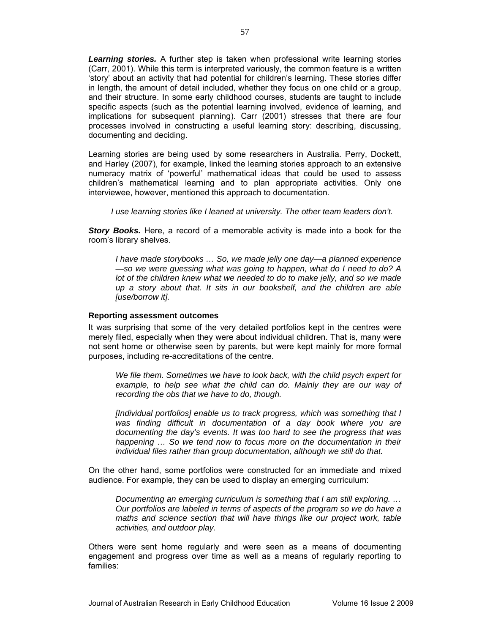*Learning stories.* A further step is taken when professional write learning stories (Carr, 2001). While this term is interpreted variously, the common feature is a written 'story' about an activity that had potential for children's learning. These stories differ in length, the amount of detail included, whether they focus on one child or a group, and their structure. In some early childhood courses, students are taught to include specific aspects (such as the potential learning involved, evidence of learning, and implications for subsequent planning). Carr (2001) stresses that there are four processes involved in constructing a useful learning story: describing, discussing, documenting and deciding.

Learning stories are being used by some researchers in Australia. Perry, Dockett, and Harley (2007), for example, linked the learning stories approach to an extensive numeracy matrix of 'powerful' mathematical ideas that could be used to assess children's mathematical learning and to plan appropriate activities. Only one interviewee, however, mentioned this approach to documentation.

*I use learning stories like I leaned at university. The other team leaders don't.* 

*Story Books.* Here, a record of a memorable activity is made into a book for the room's library shelves.

*I have made storybooks … So, we made jelly one day—a planned experience —so we were guessing what was going to happen, what do I need to do? A lot of the children knew what we needed to do to make jelly, and so we made up a story about that. It sits in our bookshelf, and the children are able [use/borrow it].*

### **Reporting assessment outcomes**

It was surprising that some of the very detailed portfolios kept in the centres were merely filed, especially when they were about individual children. That is, many were not sent home or otherwise seen by parents, but were kept mainly for more formal purposes, including re-accreditations of the centre.

*We file them. Sometimes we have to look back, with the child psych expert for example, to help see what the child can do. Mainly they are our way of recording the obs that we have to do, though.* 

*[Individual portfolios] enable us to track progress, which was something that I was finding difficult in documentation of a day book where you are documenting the day's events. It was too hard to see the progress that was happening … So we tend now to focus more on the documentation in their individual files rather than group documentation, although we still do that.* 

On the other hand, some portfolios were constructed for an immediate and mixed audience. For example, they can be used to display an emerging curriculum:

*Documenting an emerging curriculum is something that I am still exploring. … Our portfolios are labeled in terms of aspects of the program so we do have a maths and science section that will have things like our project work, table activities, and outdoor play.* 

Others were sent home regularly and were seen as a means of documenting engagement and progress over time as well as a means of regularly reporting to families: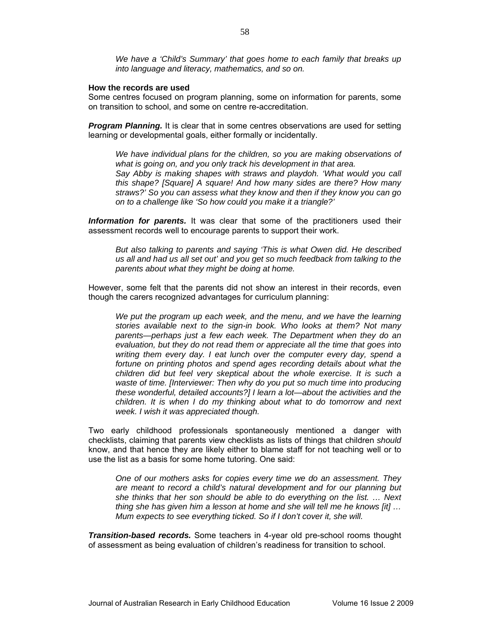*We have a 'Child's Summary' that goes home to each family that breaks up into language and literacy, mathematics, and so on.* 

#### **How the records are used**

Some centres focused on program planning, some on information for parents, some on transition to school, and some on centre re-accreditation.

*Program Planning.* It is clear that in some centres observations are used for setting learning or developmental goals, either formally or incidentally.

*We have individual plans for the children, so you are making observations of what is going on, and you only track his development in that area.*  Say Abby is making shapes with straws and playdoh. 'What would you call *this shape? [Square] A square! And how many sides are there? How many straws?' So you can assess what they know and then if they know you can go on to a challenge like 'So how could you make it a triangle?'* 

**Information for parents.** It was clear that some of the practitioners used their assessment records well to encourage parents to support their work.

*But also talking to parents and saying 'This is what Owen did. He described us all and had us all set out' and you get so much feedback from talking to the parents about what they might be doing at home.* 

However, some felt that the parents did not show an interest in their records, even though the carers recognized advantages for curriculum planning:

*We put the program up each week, and the menu, and we have the learning stories available next to the sign-in book. Who looks at them? Not many parents—perhaps just a few each week. The Department when they do an evaluation, but they do not read them or appreciate all the time that goes into writing them every day. I eat lunch over the computer every day, spend a fortune on printing photos and spend ages recording details about what the children did but feel very skeptical about the whole exercise. It is such a waste of time. [Interviewer: Then why do you put so much time into producing these wonderful, detailed accounts?] I learn a lot—about the activities and the children. It is when I do my thinking about what to do tomorrow and next week. I wish it was appreciated though.* 

Two early childhood professionals spontaneously mentioned a danger with checklists, claiming that parents view checklists as lists of things that children *should* know, and that hence they are likely either to blame staff for not teaching well or to use the list as a basis for some home tutoring. One said:

*One of our mothers asks for copies every time we do an assessment. They are meant to record a child's natural development and for our planning but she thinks that her son should be able to do everything on the list. … Next thing she has given him a lesson at home and she will tell me he knows [it] … Mum expects to see everything ticked. So if I don't cover it, she will.*

*Transition-based records.* Some teachers in 4-year old pre-school rooms thought of assessment as being evaluation of children's readiness for transition to school.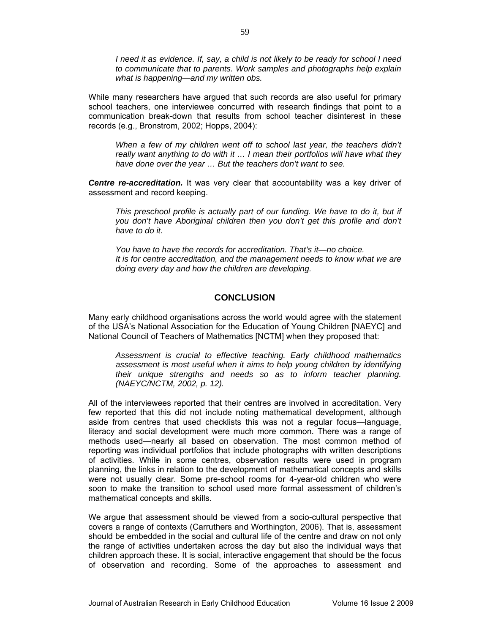*I need it as evidence. If, say, a child is not likely to be ready for school I need to communicate that to parents. Work samples and photographs help explain what is happening—and my written obs.* 

While many researchers have argued that such records are also useful for primary school teachers, one interviewee concurred with research findings that point to a communication break-down that results from school teacher disinterest in these records (e.g., Bronstrom, 2002; Hopps, 2004):

*When a few of my children went off to school last year, the teachers didn't really want anything to do with it … I mean their portfolios will have what they have done over the year … But the teachers don't want to see.* 

*Centre re-accreditation.* It was very clear that accountability was a key driver of assessment and record keeping.

This preschool profile is actually part of our funding. We have to do it, but if *you don't have Aboriginal children then you don't get this profile and don't have to do it.* 

*You have to have the records for accreditation. That's it—no choice. It is for centre accreditation, and the management needs to know what we are doing every day and how the children are developing.* 

# **CONCLUSION**

Many early childhood organisations across the world would agree with the statement of the USA's National Association for the Education of Young Children [NAEYC] and National Council of Teachers of Mathematics [NCTM] when they proposed that:

*Assessment is crucial to effective teaching. Early childhood mathematics assessment is most useful when it aims to help young children by identifying their unique strengths and needs so as to inform teacher planning. (NAEYC/NCTM, 2002, p. 12).* 

All of the interviewees reported that their centres are involved in accreditation. Very few reported that this did not include noting mathematical development, although aside from centres that used checklists this was not a regular focus—language, literacy and social development were much more common. There was a range of methods used—nearly all based on observation. The most common method of reporting was individual portfolios that include photographs with written descriptions of activities. While in some centres, observation results were used in program planning, the links in relation to the development of mathematical concepts and skills were not usually clear. Some pre-school rooms for 4-year-old children who were soon to make the transition to school used more formal assessment of children's mathematical concepts and skills.

We argue that assessment should be viewed from a socio-cultural perspective that covers a range of contexts (Carruthers and Worthington, 2006). That is, assessment should be embedded in the social and cultural life of the centre and draw on not only the range of activities undertaken across the day but also the individual ways that children approach these. It is social, interactive engagement that should be the focus of observation and recording. Some of the approaches to assessment and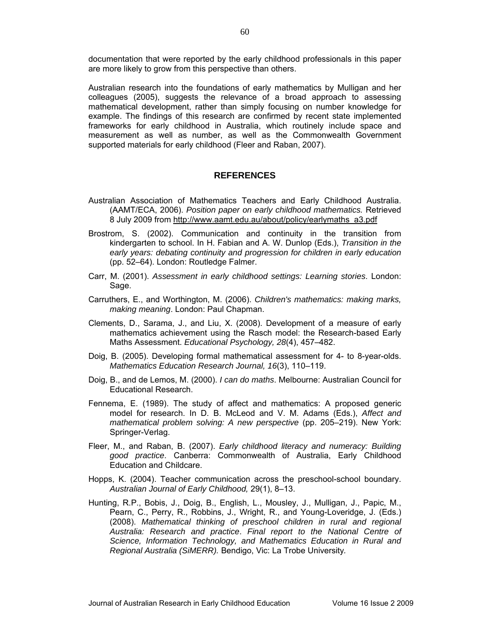documentation that were reported by the early childhood professionals in this paper are more likely to grow from this perspective than others.

Australian research into the foundations of early mathematics by Mulligan and her colleagues (2005), suggests the relevance of a broad approach to assessing mathematical development, rather than simply focusing on number knowledge for example. The findings of this research are confirmed by recent state implemented frameworks for early childhood in Australia, which routinely include space and measurement as well as number, as well as the Commonwealth Government supported materials for early childhood (Fleer and Raban, 2007).

# **REFERENCES**

- Australian Association of Mathematics Teachers and Early Childhood Australia. (AAMT/ECA, 2006). *Position paper on early childhood mathematics.* Retrieved 8 July 2009 from http://www.aamt.edu.au/about/policy/earlymaths\_a3.pdf
- Brostrom, S. (2002). Communication and continuity in the transition from kindergarten to school. In H. Fabian and A. W. Dunlop (Eds.), *Transition in the early years: debating continuity and progression for children in early education* (pp. 52–64). London: Routledge Falmer.
- Carr, M. (2001). *Assessment in early childhood settings: Learning stories*. London: Sage.
- Carruthers, E., and Worthington, M. (2006). *Children's mathematics: making marks, making meaning*. London: Paul Chapman.
- Clements, D., Sarama, J., and Liu, X. (2008). Development of a measure of early mathematics achievement using the Rasch model: the Research-based Early Maths Assessment. *Educational Psychology, 28*(4), 457–482.
- Doig, B. (2005). Developing formal mathematical assessment for 4- to 8-year-olds. *Mathematics Education Research Journal, 16*(3), 110–119.
- Doig, B., and de Lemos, M. (2000). *I can do maths*. Melbourne: Australian Council for Educational Research.
- Fennema, E. (1989). The study of affect and mathematics: A proposed generic model for research. In D. B. McLeod and V. M. Adams (Eds.), *Affect and mathematical problem solving: A new perspective* (pp. 205–219). New York: Springer-Verlag.
- Fleer, M., and Raban, B. (2007). *Early childhood literacy and numeracy: Building good practice*. Canberra: Commonwealth of Australia, Early Childhood Education and Childcare.
- Hopps, K. (2004). Teacher communication across the preschool-school boundary. *Australian Journal of Early Childhood,* 29(1), 8–13.
- Hunting, R.P., Bobis, J., Doig, B., English, L., Mousley, J., Mulligan, J., Papic, M., Pearn, C., Perry, R., Robbins, J., Wright, R., and Young-Loveridge, J. (Eds.) (2008). *Mathematical thinking of preschool children in rural and regional Australia: Research and practice*. *Final report to the National Centre of Science, Information Technology, and Mathematics Education in Rural and Regional Australia (SiMERR).* Bendigo, Vic: La Trobe University*.*